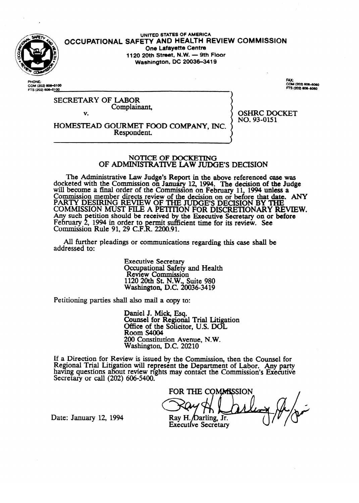

UNITED STATES OF AMERICA OCCUPATIONAL SAFETY AND HEALTH REVIEW COMMISSION<br>One Lafavette Centre 1120 20th Street, N.W. - 9th Floor **1120 20th Stmet, N.W. - 9th Floor Washington, DC 200364419** 

**PHONE** COM (202) 606–510<br>FTS (202) 606–5<u>100</u> FAX: FAX:<br>COM (202) 606-6060 S (202) ADR ADRO

SECRETARY OF LABOR Complainant

v.

OSHRIC DOCKET  $\frac{1}{2}$ 

HOMESTER BOOTHING FOOD COMPANY, INC.

Respondent.

# NOTICE OF DOCKETING<br>OF ADMINISTRATIVE LAW JUDGE'S DECISION

The Administrative Law Judge's Report in the above referenced case was docketed with the Commission on January 12, 1994. The decision of the Judge will become a final order of the Commission on February 11, 1994 unless a Commission member directs review of the decision on or before that date. PARTY DESIRING REVIEW OF THE JUDGE'S DECISION BY THE<br>COMMISSION MUST THE 1 DETEROY FOR DECRETION ON DELITIVE COMMISSION MUST FILE A PETITION FOR DISCRETIONARY RE Any such petition should be received by the Executive Secretary on or before reoruary<br>Commissi Commissio etition in order to permit suff  $R$ uie 91, 29 C.F.R. 2200.91. cient time for its review. See

All further pleadings or communication  $A$ l further pleadings or communications regarding the communications regarding the case shall be shall be shall be shall be shall be shall be shall be shall be shall be shall be shall be shall be shall be shall be shall

> **Executive Secretary** Secupational Safety<br>Review Commissio  $1120$  20th St. N.W., Suite 980 Review Committee Commission  $\ldots$   $\ldots$   $\ldots$   $\ldots$

Petitioning parties shall also mail a copy to:

Daniel J. Mick, Esq.<br>Counsel for Regional Trial Litigation Office of the Solicitor, U.S. DOL Room S4004 200 Constitution Avenue, N.W. Washington, 1

200 Constitution Avenue, N.W. iew is issued by the Comi Regional Trial Litigation will represent the Department of Labor. Any party having questions about review rights may contact the Commission's Executive Secretary or call  $(202)$  606-5400.

FOR THE COMMISSION SWY AL DIL Ray H. Darling, Jr. Executive Secretary

Date: January 12, 1994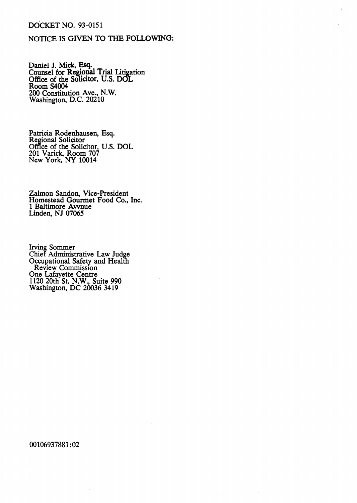## DdCKET NO. 93-0151

## NOTICE IS GIVEN TO THE FOLLOWING:

Daniel J. Mick, Esq. Counsel for Regional Trial Litigation Office of the Solicitor, U.S. DOL Room S4004 200 Constitution Ave., N.W. Washington, D.C. 20210

Patricia Rodenhausen, Esq. Regional Solicitor Office of the Solicitor, 201 Varick, Room *JO?*  New York, NY 10014 U.S. DOL

Zalmon Sandon, Vice-President Homestead Gourmet Food Co., Inc. **1** Baltimore Avvnue Linden, NJ 07065

Irving Sommer Chief Administrative Law Judge Occupational Safety and Health Review Commission One Lafayette Centre 1120 20th St. N.W., Suite 990 Washington, DC 20036 3419

00106937881:02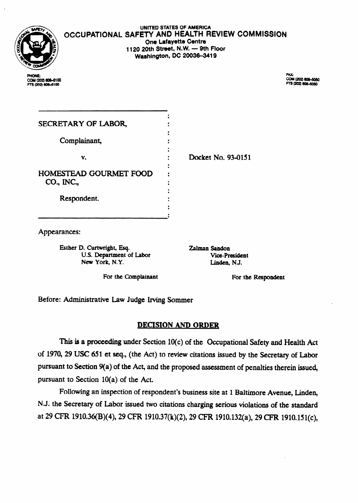

UNITED STATES OF AMERICA OCCUPATIONAL SAFETY AND HEALTH REVIEW COMMISSION **One Lafayette Centre 1120 20th Street, N.W. - 9th Floor Washington, DC 20036-3419** 

**PHONE:** COM (202) 606-6100<br>FTS (202) 606-6100

FAX-FAA:<br>COM (202) 606-5050<br>FTS (202) 606-5050

| SECRETARY OF LABOR,    |                    |
|------------------------|--------------------|
|                        |                    |
| Complainant,           |                    |
|                        |                    |
| v.                     | Docket No. 93-0151 |
|                        |                    |
| HOMESTEAD GOURMET FOOD |                    |
| CO., INC.,             |                    |
|                        |                    |
| Respondent.            |                    |
|                        |                    |
|                        |                    |

Appearances:

**Esther D. Curtwright, Esq. Zalman Saadon**  U.S. Department of Labor **Vice-President New York, N.Y.** Linden, N.J. New York, N.Y.

For the Complainant **For the Respondent** 

Before: Administrative Law Judge Irving Sommer

# **DECISION AND ORDER**

This is a proceeding under Section 10(c) of the Occupational Safety and Health Act of 1970, 29 USC 651 et seq., (the Act) to review citations issued by the Secretary of Labor pursuant to Section 9(a) of the Act, and the proposed assessment of penalties therein issued, pursuant to Section  $10(a)$  of the Act.

Following an inspection of respondent's business site at 1 Baltimore Avenue, Linden, N.J. the Secretary of Labor issued two citations charging serious violations of the standard at 29 CFR 1910.36(B)(4), 29 CFR 1910.37(k)(2), 29 CFR 1910.132(a), 29 CFR 1910.151(c),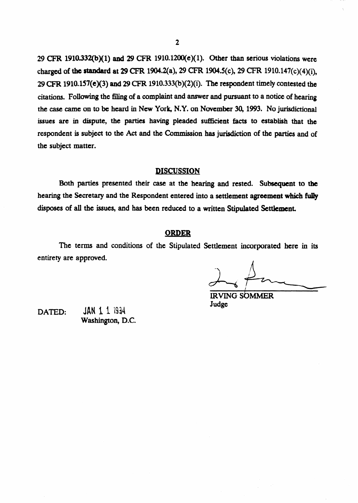29 CFR 1910.332(b)(1) and 29 CFR 1910.1200(e)(1). Other than serious violations were charged of the standard at 29 CFR 1904.2(a), 29 CFR 1904.5(c), 29 CFR 1910.147(c)(4)(i), 29 CFIX **1910.157(e)(3)** and 29 CFR 1910.333@)(2)(i). The respondent timely contested the citations. Following the filing of a complaint and answer and pursuant to a notice of hearing the case came on to be heard in New York, N.Y. on November 30, 1993. No jurisdictional issues are in dispute, the parties having pleaded **sufficient** facts to establish that the respondent is subject to the **Act** and the Commission has jurisdiction of the parties and of the subject matter.

## **DISCUSSION**

Both parties presented their case at the hearing and rested. **Subsequent to the**  hearing the Secretary and the Respondent entered into a settlement agreement which fully disposes of all the issues, and has been reduced to **a** written Stipulated Settlement.

### **ORDER**

The terms and conditions of the Stipulated Settlement incorporated here in its entirety are approved.

**IRVING SOMMER** Judge

**DATED:** JAN 1 1 1934 **Washington,** D.C.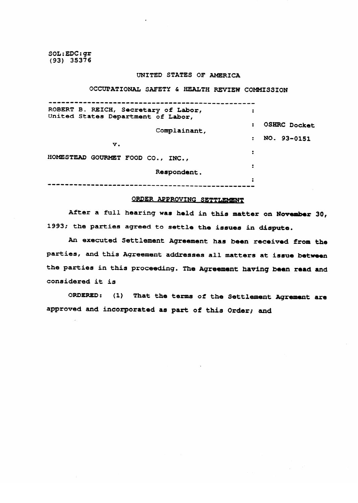**SOL:EDC:gr (93) 35376** 

#### **UNITED STATES OF AMERICA**

**OCCUPATIONAL SAFETY 6) HEALTH REVIEW COMMISSION** 

| ROBERT B. REICH, Secretary of Labor,<br>United States Department of Labor, | :                    |                     |
|----------------------------------------------------------------------------|----------------------|---------------------|
| Complainant,                                                               | $\ddot{\phantom{a}}$ | <b>OSHRC Docket</b> |
| v.                                                                         | $\bullet$            | NO. 93-0151         |
| HOMESTEAD GOURMET FOOD CO., INC.,                                          | 2                    |                     |
| Respondent.                                                                | 2                    |                     |
|                                                                            | ÷                    |                     |

### ORDER APPROVING SETTLEMENT

After a full hearing was held in this matter on November 30, 1993; the parties agreed to settle the issues in dispute.

An executed Settlement Agreement has been received from the **And this Agreement addresses all matters at issue between** the parties in this proceeding. The Agreement having been read and considered it is

ORDERED: (1) That the terms of the Settlement Agrement are approved and incorporated as part of this Order; and

**approved and incorporated a8 part of this Order; and**